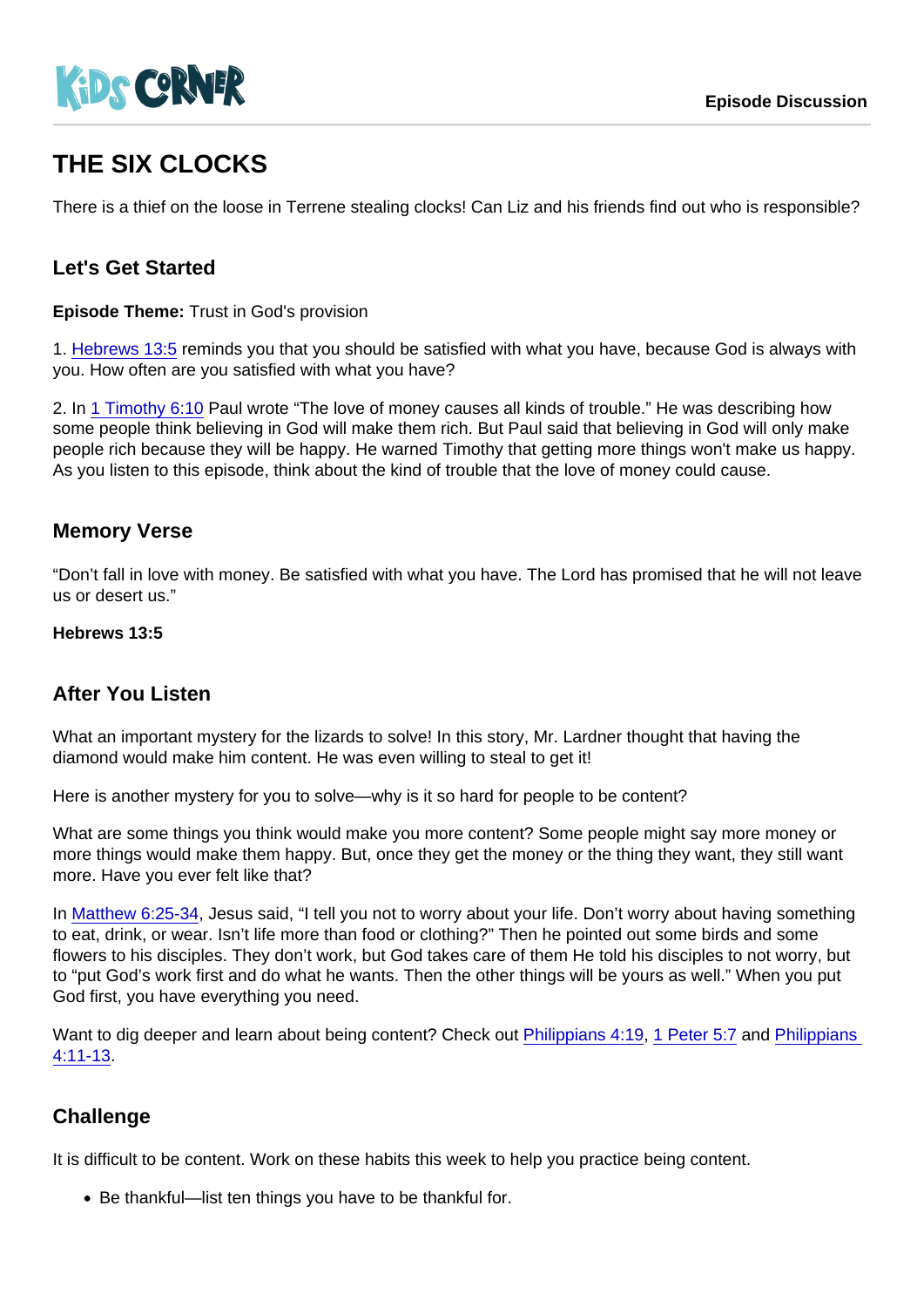# THE SIX CLOCKS

There is a thief on the loose in Terrene stealing clocks! Can Liz and his friends find out who is responsible?

# Let's Get Started

Episode Theme: Trust in God's provision

1. [Hebrews 13:5](https://www.biblegateway.com/passage/?search=Hebrews+13:5) reminds you that you should be satisfied with what you have, because God is always with you. How often are you satisfied with what you have?

2. In [1 Timothy 6:10](https://www.biblegateway.com/passage/?search=1+Timothy+6:10) Paul wrote "The love of money causes all kinds of trouble." He was describing how some people think believing in God will make them rich. But Paul said that believing in God will only make people rich because they will be happy. He warned Timothy that getting more things won't make us happy. As you listen to this episode, think about the kind of trouble that the love of money could cause.

## Memory Verse

"Don't fall in love with money. Be satisfied with what you have. The Lord has promised that he will not leave us or desert us."

Hebrews 13:5

#### After You Listen

What an important mystery for the lizards to solve! In this story, Mr. Lardner thought that having the diamond would make him content. He was even willing to steal to get it!

Here is another mystery for you to solve—why is it so hard for people to be content?

What are some things you think would make you more content? Some people might say more money or more things would make them happy. But, once they get the money or the thing they want, they still want more. Have you ever felt like that?

In [Matthew 6:25-34](https://www.biblegateway.com/passage/?search=Matthew+6:25-34), Jesus said, "I tell you not to worry about your life. Don't worry about having something to eat, drink, or wear. Isn't life more than food or clothing?" Then he pointed out some birds and some flowers to his disciples. They don't work, but God takes care of them He told his disciples to not worry, but to "put God's work first and do what he wants. Then the other things will be yours as well." When you put God first, you have everything you need.

Want to dig deeper and learn about being content? Check out [Philippians 4:19,](https://www.biblegateway.com/passage/?search=Philippians+4:19) [1 Peter 5:7](https://www.biblegateway.com/passage/?search=1+Peter+5:7) and Philippians [4:11-13](https://www.biblegateway.com/passage/?search=Philippians+4:11-13).

## **Challenge**

It is difficult to be content. Work on these habits this week to help you practice being content.

Be thankful—list ten things you have to be thankful for.